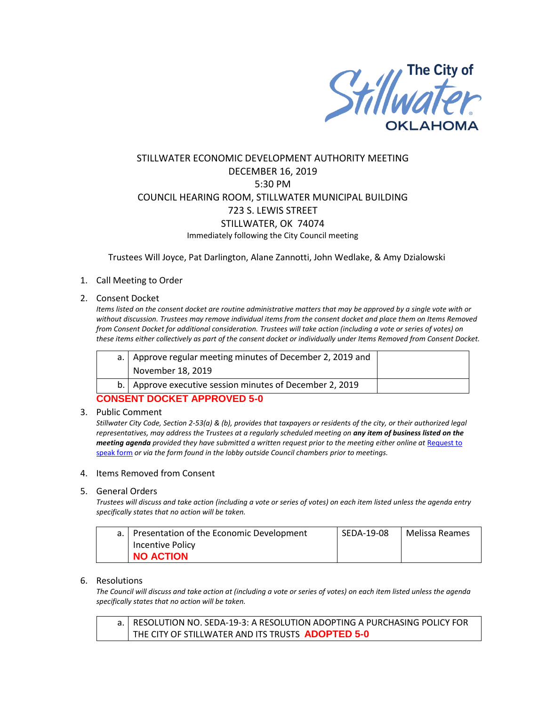

# STILLWATER ECONOMIC DEVELOPMENT AUTHORITY MEETING DECEMBER 16, 2019 5:30 PM COUNCIL HEARING ROOM, STILLWATER MUNICIPAL BUILDING 723 S. LEWIS STREET STILLWATER, OK 74074 Immediately following the City Council meeting

Trustees Will Joyce, Pat Darlington, Alane Zannotti, John Wedlake, & Amy Dzialowski

## 1. Call Meeting to Order

#### 2. Consent Docket

*Items listed on the consent docket are routine administrative matters that may be approved by a single vote with or without discussion. Trustees may remove individual items from the consent docket and place them on Items Removed from Consent Docket for additional consideration. Trustees will take action (including a vote or series of votes) on these items either collectively as part of the consent docket or individually under Items Removed from Consent Docket.*

| a.   Approve regular meeting minutes of December 2, 2019 and |  |
|--------------------------------------------------------------|--|
| November 18, 2019                                            |  |
| b.   Approve executive session minutes of December 2, 2019   |  |

## **CONSENT DOCKET APPROVED 5-0**

#### 3. Public Comment

*Stillwater City Code, Section 2-53(a) & (b), provides that taxpayers or residents of the city, or their authorized legal representatives, may address the Trustees at a regularly scheduled meeting on any item of business listed on the meeting agenda provided they have submitted a written request prior to the meeting either online at Request to* [speak form](http://stillwater.org/page/home/government/mayor-city-council/meetings-agendas-minutes/online-request-to-speak-at-city-council) *or via the form found in the lobby outside Council chambers prior to meetings.*

#### 4. Items Removed from Consent

#### 5. General Orders

*Trustees will discuss and take action (including a vote or series of votes) on each item listed unless the agenda entry specifically states that no action will be taken.*

| a.   Presentation of the Economic Development | SEDA-19-08 | Melissa Reames |
|-----------------------------------------------|------------|----------------|
| Incentive Policy                              |            |                |
| <b>NO ACTION</b>                              |            |                |

#### 6. Resolutions

*The Council will discuss and take action at (including a vote or series of votes) on each item listed unless the agenda specifically states that no action will be taken.*

a. RESOLUTION NO. SEDA-19-3: A RESOLUTION ADOPTING A PURCHASING POLICY FOR THE CITY OF STILLWATER AND ITS TRUSTS **ADOPTED 5-0**